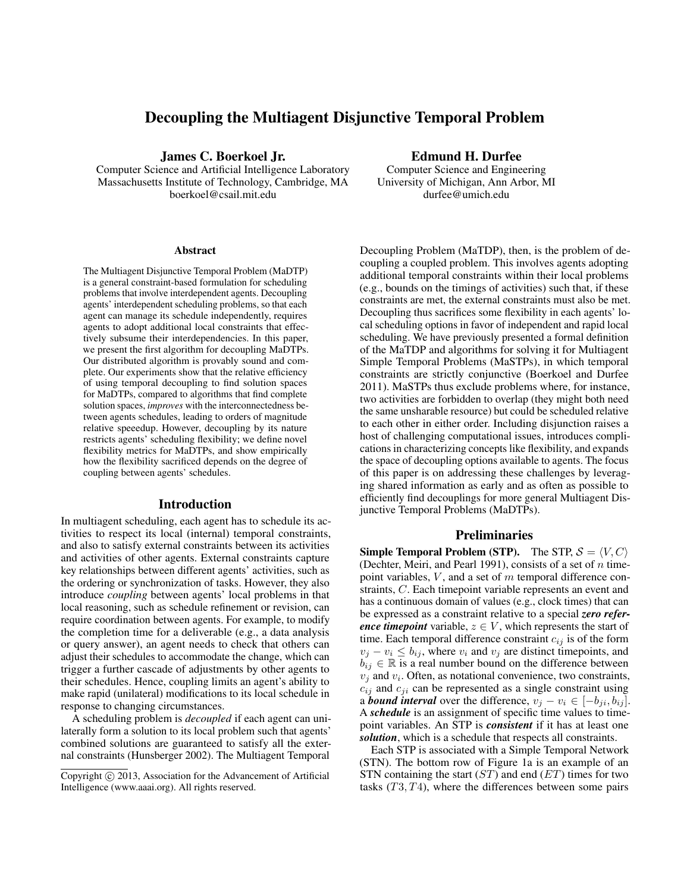# Decoupling the Multiagent Disjunctive Temporal Problem

James C. Boerkoel Jr.

Computer Science and Artificial Intelligence Laboratory Massachusetts Institute of Technology, Cambridge, MA boerkoel@csail.mit.edu

#### Abstract

The Multiagent Disjunctive Temporal Problem (MaDTP) is a general constraint-based formulation for scheduling problems that involve interdependent agents. Decoupling agents' interdependent scheduling problems, so that each agent can manage its schedule independently, requires agents to adopt additional local constraints that effectively subsume their interdependencies. In this paper, we present the first algorithm for decoupling MaDTPs. Our distributed algorithm is provably sound and complete. Our experiments show that the relative efficiency of using temporal decoupling to find solution spaces for MaDTPs, compared to algorithms that find complete solution spaces, *improves* with the interconnectedness between agents schedules, leading to orders of magnitude relative speeedup. However, decoupling by its nature restricts agents' scheduling flexibility; we define novel flexibility metrics for MaDTPs, and show empirically how the flexibility sacrificed depends on the degree of coupling between agents' schedules.

#### Introduction

In multiagent scheduling, each agent has to schedule its activities to respect its local (internal) temporal constraints, and also to satisfy external constraints between its activities and activities of other agents. External constraints capture key relationships between different agents' activities, such as the ordering or synchronization of tasks. However, they also introduce *coupling* between agents' local problems in that local reasoning, such as schedule refinement or revision, can require coordination between agents. For example, to modify the completion time for a deliverable (e.g., a data analysis or query answer), an agent needs to check that others can adjust their schedules to accommodate the change, which can trigger a further cascade of adjustments by other agents to their schedules. Hence, coupling limits an agent's ability to make rapid (unilateral) modifications to its local schedule in response to changing circumstances.

A scheduling problem is *decoupled* if each agent can unilaterally form a solution to its local problem such that agents' combined solutions are guaranteed to satisfy all the external constraints (Hunsberger 2002). The Multiagent Temporal

#### Edmund H. Durfee

Computer Science and Engineering University of Michigan, Ann Arbor, MI durfee@umich.edu

Decoupling Problem (MaTDP), then, is the problem of decoupling a coupled problem. This involves agents adopting additional temporal constraints within their local problems (e.g., bounds on the timings of activities) such that, if these constraints are met, the external constraints must also be met. Decoupling thus sacrifices some flexibility in each agents' local scheduling options in favor of independent and rapid local scheduling. We have previously presented a formal definition of the MaTDP and algorithms for solving it for Multiagent Simple Temporal Problems (MaSTPs), in which temporal constraints are strictly conjunctive (Boerkoel and Durfee 2011). MaSTPs thus exclude problems where, for instance, two activities are forbidden to overlap (they might both need the same unsharable resource) but could be scheduled relative to each other in either order. Including disjunction raises a host of challenging computational issues, introduces complications in characterizing concepts like flexibility, and expands the space of decoupling options available to agents. The focus of this paper is on addressing these challenges by leveraging shared information as early and as often as possible to efficiently find decouplings for more general Multiagent Disjunctive Temporal Problems (MaDTPs).

#### **Preliminaries**

**Simple Temporal Problem (STP).** The STP,  $S = \langle V, C \rangle$ (Dechter, Meiri, and Pearl 1991), consists of a set of  $n$  timepoint variables,  $V$ , and a set of  $m$  temporal difference constraints, C. Each timepoint variable represents an event and has a continuous domain of values (e.g., clock times) that can be expressed as a constraint relative to a special *zero reference timepoint* variable,  $z \in V$ , which represents the start of time. Each temporal difference constraint  $c_{ij}$  is of the form  $v_j - v_i \leq b_{ij}$ , where  $v_i$  and  $v_j$  are distinct timepoints, and  $b_{ij} \in \mathbb{R}$  is a real number bound on the difference between  $v_j$  and  $v_i$ . Often, as notational convenience, two constraints,  $c_{ij}$  and  $c_{ji}$  can be represented as a single constraint using a *bound interval* over the difference,  $v_j - v_i \in [-b_{ji}, b_{ij}]$ . A *schedule* is an assignment of specific time values to timepoint variables. An STP is *consistent* if it has at least one *solution*, which is a schedule that respects all constraints.

Each STP is associated with a Simple Temporal Network (STN). The bottom row of Figure 1a is an example of an STN containing the start  $(ST)$  and end  $(ET)$  times for two tasks  $(T3, T4)$ , where the differences between some pairs

Copyright (c) 2013, Association for the Advancement of Artificial Intelligence (www.aaai.org). All rights reserved.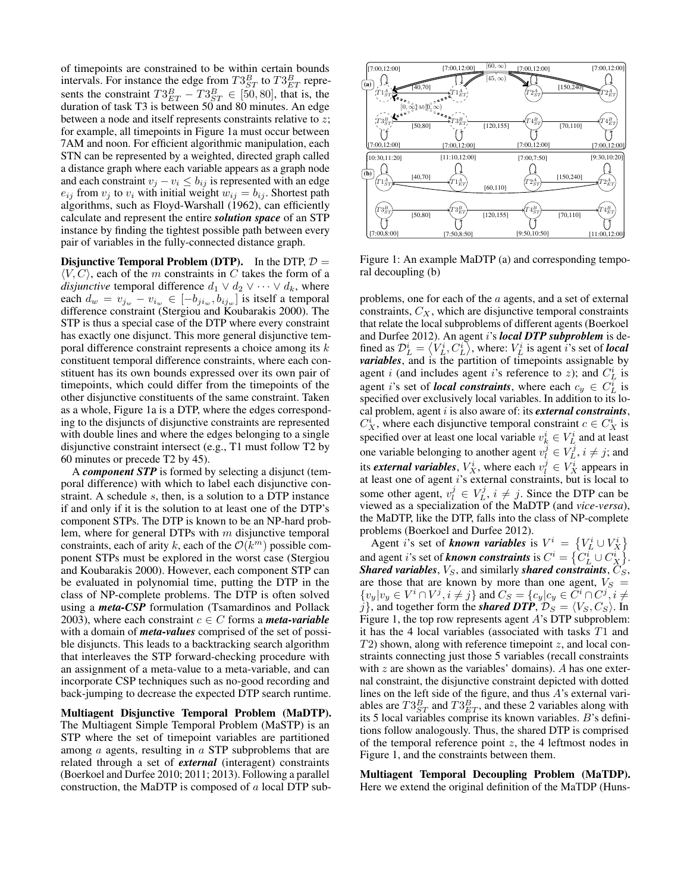of timepoints are constrained to be within certain bounds intervals. For instance the edge from  $T3_{ST}^B$  to  $T3_{ET}^B$  represents the constraint  $T3_{ET}^B - T3_{ST}^B \in [50, 80]$ , that is, the duration of task T3 is between 50 and 80 minutes. An edge between a node and itself represents constraints relative to z; for example, all timepoints in Figure 1a must occur between 7AM and noon. For efficient algorithmic manipulation, each STN can be represented by a weighted, directed graph called a distance graph where each variable appears as a graph node and each constraint  $v_j - v_i \leq b_{ij}$  is represented with an edge  $e_{ij}$  from  $v_j$  to  $v_i$  with initial weight  $w_{ij} = b_{ij}$ . Shortest path algorithms, such as Floyd-Warshall (1962), can efficiently calculate and represent the entire *solution space* of an STP instance by finding the tightest possible path between every pair of variables in the fully-connected distance graph.

**Disjunctive Temporal Problem (DTP).** In the DTP,  $D =$  $\langle V, C \rangle$ , each of the m constraints in C takes the form of a *disjunctive* temporal difference  $d_1 \vee d_2 \vee \cdots \vee d_k$ , where each  $d_w = v_{j_w} - v_{i_w} \in [-b_{ji_w}, b_{ij_w}]$  is itself a temporal difference constraint (Stergiou and Koubarakis 2000). The STP is thus a special case of the DTP where every constraint has exactly one disjunct. This more general disjunctive temporal difference constraint represents a choice among its  $k$ constituent temporal difference constraints, where each constituent has its own bounds expressed over its own pair of timepoints, which could differ from the timepoints of the other disjunctive constituents of the same constraint. Taken as a whole, Figure 1a is a DTP, where the edges corresponding to the disjuncts of disjunctive constraints are represented with double lines and where the edges belonging to a single disjunctive constraint intersect (e.g., T1 must follow T2 by 60 minutes or precede T2 by 45).

A *component STP* is formed by selecting a disjunct (temporal difference) with which to label each disjunctive constraint. A schedule s, then, is a solution to a DTP instance if and only if it is the solution to at least one of the DTP's component STPs. The DTP is known to be an NP-hard problem, where for general DTPs with  $m$  disjunctive temporal constraints, each of arity k, each of the  $\mathcal{O}(k^m)$  possible component STPs must be explored in the worst case (Stergiou and Koubarakis 2000). However, each component STP can be evaluated in polynomial time, putting the DTP in the class of NP-complete problems. The DTP is often solved using a *meta-CSP* formulation (Tsamardinos and Pollack 2003), where each constraint  $c \in C$  forms a *meta-variable* with a domain of *meta-values* comprised of the set of possible disjuncts. This leads to a backtracking search algorithm that interleaves the STP forward-checking procedure with an assignment of a meta-value to a meta-variable, and can incorporate CSP techniques such as no-good recording and back-jumping to decrease the expected DTP search runtime.

Multiagent Disjunctive Temporal Problem (MaDTP). The Multiagent Simple Temporal Problem (MaSTP) is an STP where the set of timepoint variables are partitioned among a agents, resulting in a STP subproblems that are related through a set of *external* (interagent) constraints (Boerkoel and Durfee 2010; 2011; 2013). Following a parallel construction, the MaDTP is composed of a local DTP sub-



Figure 1: An example MaDTP (a) and corresponding temporal decoupling (b)

problems, one for each of the a agents, and a set of external constraints,  $C_X$ , which are disjunctive temporal constraints that relate the local subproblems of different agents (Boerkoel and Durfee 2012). An agent i's *local DTP subproblem* is defined as  $\mathcal{D}_{L}^{i} = \left\langle V_{L}^{i}, C_{L}^{i} \right\rangle$ , where:  $V_{L}^{i}$  is agent  $i$ 's set of *local variables*, and is the partition of timepoints assignable by agent *i* (and includes agent *i*'s reference to *z*); and  $C_L^i$  is agent *i*'s set of *local constraints*, where each  $c_y \in C_L^i$  is specified over exclusively local variables. In addition to its local problem, agent i is also aware of: its *external constraints*,  $C_X^i$ , where each disjunctive temporal constraint  $c \in C_X^i$  is specified over at least one local variable  $v_k^i \in V_L^i$  and at least one variable belonging to another agent  $v_l^j \in V_L^j$ ,  $i \neq j$ ; and its *external variables*,  $V_X^i$ , where each  $v_l^j \in V_X^i$  appears in at least one of agent  $i$ 's external constraints, but is local to some other agent,  $v_l^j \in V_L^j$ ,  $i \neq j$ . Since the DTP can be viewed as a specialization of the MaDTP (and *vice-versa*), the MaDTP, like the DTP, falls into the class of NP-complete problems (Boerkoel and Durfee 2012).

Agent *i*'s set of *known variables* is  $V^i = \{V^i_L \cup V^i_X\}$ and agent *i*'s set of *known constraints* is  $C^i = \left\{ C_L^i \cup C_X^i \right\}$ . *Shared variables,*  $V_S$ , and similarly *shared constraints*,  $C_S$ , are those that are known by more than one agent,  $V_S =$  $\{v_y|v_y \in V^i \cap V^j, i \neq j\}$  and  $C_S = \{c_y|c_y \in C^i \cap C^j, i \neq j\}$ j}, and together form the *shared DTP*,  $\mathcal{D}_S = \langle V_S, C_S \rangle$ . In Figure 1, the top row represents agent A's DTP subproblem: it has the 4 local variables (associated with tasks T1 and  $T2$ ) shown, along with reference timepoint z, and local constraints connecting just those 5 variables (recall constraints with  $z$  are shown as the variables' domains). A has one external constraint, the disjunctive constraint depicted with dotted lines on the left side of the figure, and thus A's external variables are  $T3_{ST}^B$  and  $T3_{ET}^B$ , and these 2 variables along with its 5 local variables comprise its known variables. B's definitions follow analogously. Thus, the shared DTP is comprised of the temporal reference point  $z$ , the 4 leftmost nodes in Figure 1, and the constraints between them.

Multiagent Temporal Decoupling Problem (MaTDP). Here we extend the original definition of the MaTDP (Huns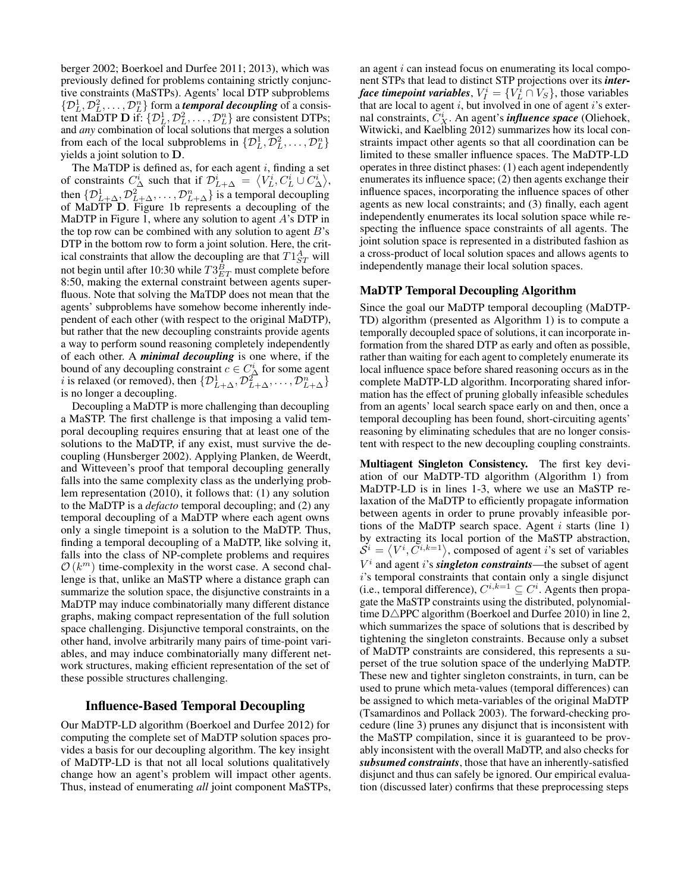berger 2002; Boerkoel and Durfee 2011; 2013), which was previously defined for problems containing strictly conjunctive constraints (MaSTPs). Agents' local DTP subproblems  $\{\mathcal{D}_L^1, \mathcal{D}_L^2, \ldots, \mathcal{D}_L^n\}$  form a *temporal decoupling* of a consistent MaDTP D if:  $\{\mathcal{D}_L^1, \mathcal{D}_L^2, \ldots, \mathcal{D}_L^n\}$  are consistent DTPs; and *any* combination of local solutions that merges a solution from each of the local subproblems in  $\{\mathcal{D}_L^1, \mathcal{D}_L^2, \ldots, \mathcal{D}_L^n\}$ yields a joint solution to D.

The MaTDP is defined as, for each agent  $i$ , finding a set of constraints  $C^i_{\Delta}$  such that if  $\mathcal{D}_{L+\Delta}^i = \langle V_L^i, C_L^i \cup C_{\Delta}^i \rangle$ , then  $\{\mathcal{D}_{L+\Delta}^1, \mathcal{D}_{L+\Delta}^2, \ldots, \mathcal{D}_{L+\Delta}^n\}$  is a temporal decoupling of MaDTP D. Figure 1b represents a decoupling of the MaDTP in Figure 1, where any solution to agent  $A$ 's DTP in the top row can be combined with any solution to agent  $B$ 's DTP in the bottom row to form a joint solution. Here, the critical constraints that allow the decoupling are that  $T1_{ST}^{A}$  will not begin until after 10:30 while  $T3^{B}_{ET}$  must complete before 8:50, making the external constraint between agents superfluous. Note that solving the MaTDP does not mean that the agents' subproblems have somehow become inherently independent of each other (with respect to the original MaDTP), but rather that the new decoupling constraints provide agents a way to perform sound reasoning completely independently of each other. A *minimal decoupling* is one where, if the bound of any decoupling constraint  $c \in C^i_\Delta$  for some agent *i* is relaxed (or removed), then  $\{ \mathcal{D}_{L+\Delta}^1, \mathcal{D}_{L+\Delta}^2, \ldots, \mathcal{D}_{L+\Delta}^n \}$ is no longer a decoupling.

Decoupling a MaDTP is more challenging than decoupling a MaSTP. The first challenge is that imposing a valid temporal decoupling requires ensuring that at least one of the solutions to the MaDTP, if any exist, must survive the decoupling (Hunsberger 2002). Applying Planken, de Weerdt, and Witteveen's proof that temporal decoupling generally falls into the same complexity class as the underlying problem representation (2010), it follows that: (1) any solution to the MaDTP is a *defacto* temporal decoupling; and (2) any temporal decoupling of a MaDTP where each agent owns only a single timepoint is a solution to the MaDTP. Thus, finding a temporal decoupling of a MaDTP, like solving it, falls into the class of NP-complete problems and requires  $\mathcal{O}(k^m)$  time-complexity in the worst case. A second challenge is that, unlike an MaSTP where a distance graph can summarize the solution space, the disjunctive constraints in a MaDTP may induce combinatorially many different distance graphs, making compact representation of the full solution space challenging. Disjunctive temporal constraints, on the other hand, involve arbitrarily many pairs of time-point variables, and may induce combinatorially many different network structures, making efficient representation of the set of these possible structures challenging.

## Influence-Based Temporal Decoupling

Our MaDTP-LD algorithm (Boerkoel and Durfee 2012) for computing the complete set of MaDTP solution spaces provides a basis for our decoupling algorithm. The key insight of MaDTP-LD is that not all local solutions qualitatively change how an agent's problem will impact other agents. Thus, instead of enumerating *all* joint component MaSTPs, an agent  $i$  can instead focus on enumerating its local component STPs that lead to distinct STP projections over its *interface timepoint variables*,  $V_I^i = \{V_L^i \cap V_S\}$ , those variables that are local to agent  $i$ , but involved in one of agent  $i$ 's external constraints,  $\tilde{C}_X^i$ . An agent's *influence space* (Oliehoek, Witwicki, and Kaelbling 2012) summarizes how its local constraints impact other agents so that all coordination can be limited to these smaller influence spaces. The MaDTP-LD operates in three distinct phases: (1) each agent independently enumerates its influence space; (2) then agents exchange their influence spaces, incorporating the influence spaces of other agents as new local constraints; and (3) finally, each agent independently enumerates its local solution space while respecting the influence space constraints of all agents. The joint solution space is represented in a distributed fashion as a cross-product of local solution spaces and allows agents to independently manage their local solution spaces.

#### MaDTP Temporal Decoupling Algorithm

Since the goal our MaDTP temporal decoupling (MaDTP-TD) algorithm (presented as Algorithm 1) is to compute a temporally decoupled space of solutions, it can incorporate information from the shared DTP as early and often as possible, rather than waiting for each agent to completely enumerate its local influence space before shared reasoning occurs as in the complete MaDTP-LD algorithm. Incorporating shared information has the effect of pruning globally infeasible schedules from an agents' local search space early on and then, once a temporal decoupling has been found, short-circuiting agents' reasoning by eliminating schedules that are no longer consistent with respect to the new decoupling coupling constraints.

Multiagent Singleton Consistency. The first key deviation of our MaDTP-TD algorithm (Algorithm 1) from MaDTP-LD is in lines 1-3, where we use an MaSTP relaxation of the MaDTP to efficiently propagate information between agents in order to prune provably infeasible portions of the MaDTP search space. Agent  $i$  starts (line 1) by extracting its local portion of the MaSTP abstraction,  $\mathcal{S}^i = \langle V^i, \tilde{C}^{i,k=1} \rangle$ , composed of agent i's set of variables  $V^i$  and agent i's *singleton constraints*—the subset of agent i's temporal constraints that contain only a single disjunct (i.e., temporal difference),  $C^{i,k=1} \subseteq C^i$ . Agents then propagate the MaSTP constraints using the distributed, polynomialtime  $D\triangle$ PPC algorithm (Boerkoel and Durfee 2010) in line 2, which summarizes the space of solutions that is described by tightening the singleton constraints. Because only a subset of MaDTP constraints are considered, this represents a superset of the true solution space of the underlying MaDTP. These new and tighter singleton constraints, in turn, can be used to prune which meta-values (temporal differences) can be assigned to which meta-variables of the original MaDTP (Tsamardinos and Pollack 2003). The forward-checking procedure (line 3) prunes any disjunct that is inconsistent with the MaSTP compilation, since it is guaranteed to be provably inconsistent with the overall MaDTP, and also checks for *subsumed constraints*, those that have an inherently-satisfied disjunct and thus can safely be ignored. Our empirical evaluation (discussed later) confirms that these preprocessing steps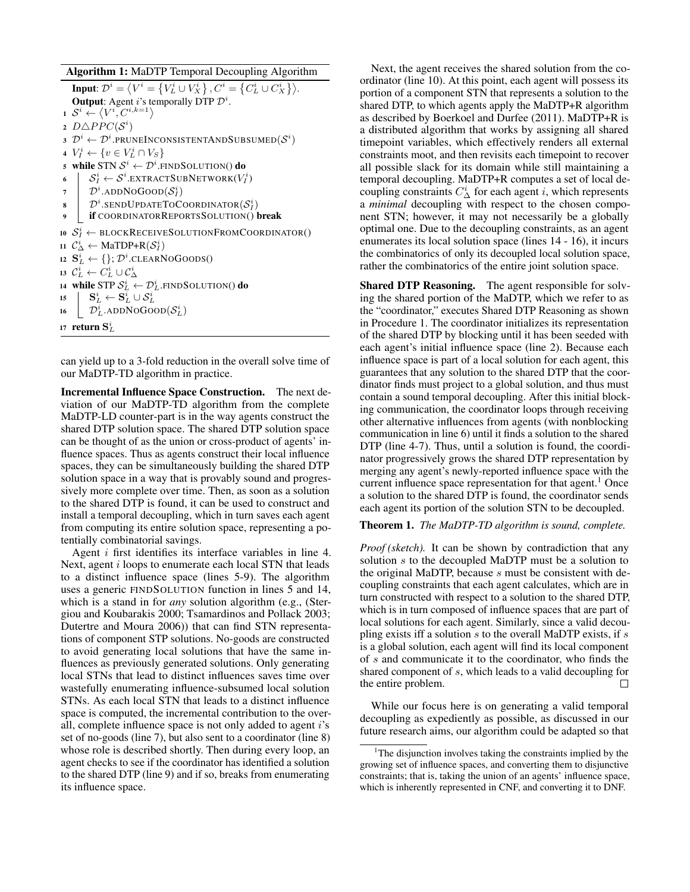Algorithm 1: MaDTP Temporal Decoupling Algorithm Input:  $\mathcal{D}^i = \left\langle V^i = \left\{ V^i_L \cup V^i_X \right\}, C^i = \left\{ C^i_L \cup C^i_X \right\} \right\rangle$ . **Output:** Agent *i*'s temporally DTP  $\mathcal{D}^i$ .  $1 \mathcal{S}^i \leftarrow \langle V^i, C^{i,k=1} \rangle$ 2  $D \triangle PPC(\mathcal{S}^i)$ 3  $\mathcal{D}^i \leftarrow \mathcal{D}^i.$ pruneInconsistentAndSubsumed $(\mathcal{S}^i)$ 4  $V_I^i \leftarrow \{ v \in V_L^i \cap V_S \}$ 5 while STN  $\mathcal{S}^i \leftarrow \mathcal{D}^i.$ FINDSOLUTION() do 6  $\begin{array}{l} \mid & \mathcal{S}^i_I \leftarrow \mathcal{S}^i$ .extractSubNetwork $(V^i_I)$  $\begin{array}{ccc} \mathcal{T} & \end{array} \Big\vert \quad \mathcal{D}^i.\text{ADDNoGoOD}(\mathcal{S}^i_I)$ 8 |  $\mathcal{D}^i$ .SENDUPDATETOCOORDINATOR $(\mathcal{S}_I^i)$ 9 **if COORDINATORREPORTSSOLUTION()** break 10  $S_I^i$   $\leftarrow$  blockReceiveSolutionFromCoordinator() 11  $\mathcal{C}^i_\Delta \leftarrow \text{MaTDP+R}(\mathcal{S}^i_I)$ 12  $\mathbf{S}_L^i \leftarrow \{\}; \mathcal{D}^i$ .clearNoGoods() 13  $\mathcal{C}^i_L \leftarrow C^i_L \cup \mathcal{C}^i_\Delta$ 14 while STP  $\mathcal{S}^i_L \leftarrow \mathcal{D}^i_L$ .FINDSOLUTION() do 15  $\qquad \mathbf{S}_L^i \leftarrow \mathbf{S}_L^i \cup \mathcal{S}_L^i$ 16  $\mathcal{D}_L^i$ .ADDNOGOOD $(\mathcal{S}_L^i)$ 17  $\,$  return  $\mathbf{S}_{L}^{i}$ 

can yield up to a 3-fold reduction in the overall solve time of our MaDTP-TD algorithm in practice.

Incremental Influence Space Construction. The next deviation of our MaDTP-TD algorithm from the complete MaDTP-LD counter-part is in the way agents construct the shared DTP solution space. The shared DTP solution space can be thought of as the union or cross-product of agents' influence spaces. Thus as agents construct their local influence spaces, they can be simultaneously building the shared DTP solution space in a way that is provably sound and progressively more complete over time. Then, as soon as a solution to the shared DTP is found, it can be used to construct and install a temporal decoupling, which in turn saves each agent from computing its entire solution space, representing a potentially combinatorial savings.

Agent i first identifies its interface variables in line 4. Next, agent *i* loops to enumerate each local STN that leads to a distinct influence space (lines 5-9). The algorithm uses a generic FINDSOLUTION function in lines 5 and 14, which is a stand in for *any* solution algorithm (e.g., (Stergiou and Koubarakis 2000; Tsamardinos and Pollack 2003; Dutertre and Moura 2006)) that can find STN representations of component STP solutions. No-goods are constructed to avoid generating local solutions that have the same influences as previously generated solutions. Only generating local STNs that lead to distinct influences saves time over wastefully enumerating influence-subsumed local solution STNs. As each local STN that leads to a distinct influence space is computed, the incremental contribution to the overall, complete influence space is not only added to agent  $i$ 's set of no-goods (line 7), but also sent to a coordinator (line 8) whose role is described shortly. Then during every loop, an agent checks to see if the coordinator has identified a solution to the shared DTP (line 9) and if so, breaks from enumerating its influence space.

Next, the agent receives the shared solution from the coordinator (line 10). At this point, each agent will possess its portion of a component STN that represents a solution to the shared DTP, to which agents apply the MaDTP+R algorithm as described by Boerkoel and Durfee (2011). MaDTP+R is a distributed algorithm that works by assigning all shared timepoint variables, which effectively renders all external constraints moot, and then revisits each timepoint to recover all possible slack for its domain while still maintaining a temporal decoupling. MaDTP+R computes a set of local decoupling constraints  $C^i_\Delta$  for each agent *i*, which represents a *minimal* decoupling with respect to the chosen component STN; however, it may not necessarily be a globally optimal one. Due to the decoupling constraints, as an agent enumerates its local solution space (lines 14 - 16), it incurs the combinatorics of only its decoupled local solution space, rather the combinatorics of the entire joint solution space.

Shared DTP Reasoning. The agent responsible for solving the shared portion of the MaDTP, which we refer to as the "coordinator," executes Shared DTP Reasoning as shown in Procedure 1. The coordinator initializes its representation of the shared DTP by blocking until it has been seeded with each agent's initial influence space (line 2). Because each influence space is part of a local solution for each agent, this guarantees that any solution to the shared DTP that the coordinator finds must project to a global solution, and thus must contain a sound temporal decoupling. After this initial blocking communication, the coordinator loops through receiving other alternative influences from agents (with nonblocking communication in line 6) until it finds a solution to the shared DTP (line 4-7). Thus, until a solution is found, the coordinator progressively grows the shared DTP representation by merging any agent's newly-reported influence space with the current influence space representation for that agent.<sup>1</sup> Once a solution to the shared DTP is found, the coordinator sends each agent its portion of the solution STN to be decoupled.

#### Theorem 1. *The MaDTP-TD algorithm is sound, complete.*

*Proof (sketch).* It can be shown by contradiction that any solution s to the decoupled MaDTP must be a solution to the original MaDTP, because s must be consistent with decoupling constraints that each agent calculates, which are in turn constructed with respect to a solution to the shared DTP, which is in turn composed of influence spaces that are part of local solutions for each agent. Similarly, since a valid decoupling exists iff a solution  $s$  to the overall MaDTP exists, if  $s$ is a global solution, each agent will find its local component of s and communicate it to the coordinator, who finds the shared component of s, which leads to a valid decoupling for the entire problem. П

While our focus here is on generating a valid temporal decoupling as expediently as possible, as discussed in our future research aims, our algorithm could be adapted so that

<sup>&</sup>lt;sup>1</sup>The disjunction involves taking the constraints implied by the growing set of influence spaces, and converting them to disjunctive constraints; that is, taking the union of an agents' influence space, which is inherently represented in CNF, and converting it to DNF.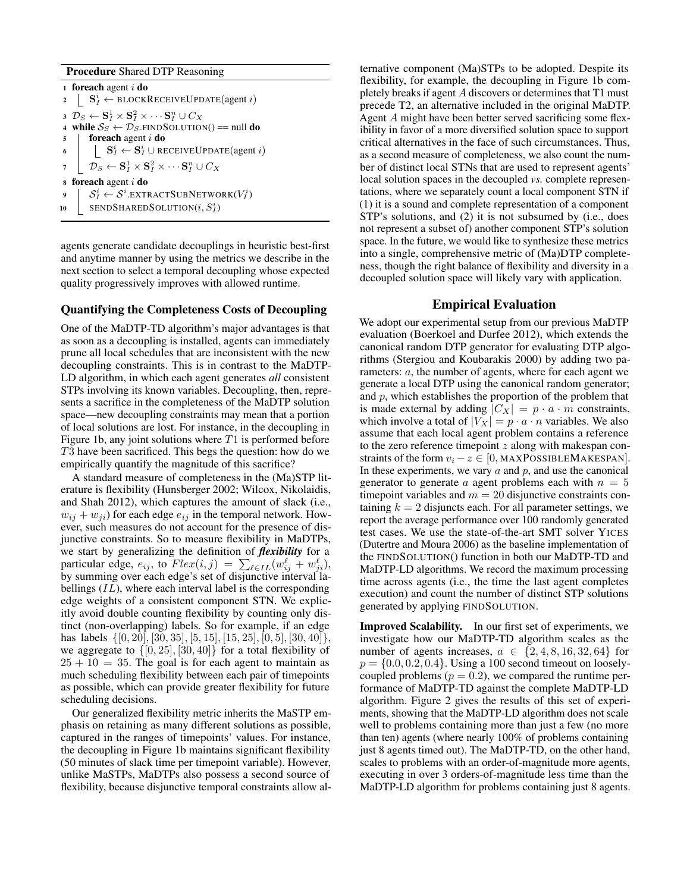#### Procedure Shared DTP Reasoning

1 foreach agent  $i$  do 2 |  $\mathbf{S}_I^i \leftarrow \text{BLOCKRECEIVEUPDATE}(\text{agent } i)$  $\mathbf{3} \;\; \mathcal{D}_S \leftarrow \mathbf{S}_I^1 \times \mathbf{S}_I^2 \times \cdots \mathbf{S}_I^n \cup C_X$ 4 while  $S_S \leftarrow \mathcal{D}_S$ . FINDSOLUTION() == null do  $5$  foreach agent i do 6  $\Big| \quad \Big| \quad \mathbf{S}_I^i \leftarrow \mathbf{S}_I^i \cup \texttt{RECEIVEUPDATE}(\text{agent } i)$  $\mathcal{D} = \begin{bmatrix} \mathcal{D}_S \leftarrow \mathbf{S}_I^1 \times \mathbf{S}_I^2 \times \cdots \mathbf{S}_I^n \cup C_X \end{bmatrix}$ <sup>8</sup> foreach agent i do 9  $\left| \quad \mathcal{S}_{I}^{i} \leftarrow \mathcal{S}^{i}.$ extractSubNetwork $(V_{I}^{i})$ 10 SENDSHAREDSOLUTION $(i, S_I^i)$ 

agents generate candidate decouplings in heuristic best-first and anytime manner by using the metrics we describe in the next section to select a temporal decoupling whose expected quality progressively improves with allowed runtime.

## Quantifying the Completeness Costs of Decoupling

One of the MaDTP-TD algorithm's major advantages is that as soon as a decoupling is installed, agents can immediately prune all local schedules that are inconsistent with the new decoupling constraints. This is in contrast to the MaDTP-LD algorithm, in which each agent generates *all* consistent STPs involving its known variables. Decoupling, then, represents a sacrifice in the completeness of the MaDTP solution space—new decoupling constraints may mean that a portion of local solutions are lost. For instance, in the decoupling in Figure 1b, any joint solutions where  $T1$  is performed before T3 have been sacrificed. This begs the question: how do we empirically quantify the magnitude of this sacrifice?

A standard measure of completeness in the (Ma)STP literature is flexibility (Hunsberger 2002; Wilcox, Nikolaidis, and Shah 2012), which captures the amount of slack (i.e.,  $w_{ij} + w_{ji}$ ) for each edge  $e_{ij}$  in the temporal network. However, such measures do not account for the presence of disjunctive constraints. So to measure flexibility in MaDTPs, we start by generalizing the definition of *flexibility* for a particular edge,  $e_{ij}$ , to  $Flex(i, j) = \sum_{\ell \in IL} (w_{ij}^{\ell} + w_{ji}^{\ell}),$ by summing over each edge's set of disjunctive interval labellings  $(IL)$ , where each interval label is the corresponding edge weights of a consistent component STN. We explicitly avoid double counting flexibility by counting only distinct (non-overlapping) labels. So for example, if an edge has labels  $\{[0, 20], [30, 35], [5, 15], [15, 25], [0, 5], [30, 40]\},\$ we aggregate to  $\{[0, 25], [30, 40]\}$  for a total flexibility of  $25 + 10 = 35$ . The goal is for each agent to maintain as much scheduling flexibility between each pair of timepoints as possible, which can provide greater flexibility for future scheduling decisions.

Our generalized flexibility metric inherits the MaSTP emphasis on retaining as many different solutions as possible, captured in the ranges of timepoints' values. For instance, the decoupling in Figure 1b maintains significant flexibility (50 minutes of slack time per timepoint variable). However, unlike MaSTPs, MaDTPs also possess a second source of flexibility, because disjunctive temporal constraints allow al-

ternative component (Ma)STPs to be adopted. Despite its flexibility, for example, the decoupling in Figure 1b completely breaks if agent A discovers or determines that T1 must precede T2, an alternative included in the original MaDTP. Agent A might have been better served sacrificing some flexibility in favor of a more diversified solution space to support critical alternatives in the face of such circumstances. Thus, as a second measure of completeness, we also count the number of distinct local STNs that are used to represent agents' local solution spaces in the decoupled *vs.* complete representations, where we separately count a local component STN if (1) it is a sound and complete representation of a component STP's solutions, and (2) it is not subsumed by (i.e., does not represent a subset of) another component STP's solution space. In the future, we would like to synthesize these metrics into a single, comprehensive metric of (Ma)DTP completeness, though the right balance of flexibility and diversity in a decoupled solution space will likely vary with application.

#### Empirical Evaluation

We adopt our experimental setup from our previous MaDTP evaluation (Boerkoel and Durfee 2012), which extends the canonical random DTP generator for evaluating DTP algorithms (Stergiou and Koubarakis 2000) by adding two parameters: a, the number of agents, where for each agent we generate a local DTP using the canonical random generator; and  $p$ , which establishes the proportion of the problem that is made external by adding  $|C_X| = p \cdot a \cdot m$  constraints, which involve a total of  $|V_X| = p \cdot a \cdot n$  variables. We also assume that each local agent problem contains a reference to the zero reference timepoint  $z$  along with makespan constraints of the form  $v_i - z \in [0, \text{MAXPOSIBLEMAKESPAN}].$ In these experiments, we vary  $a$  and  $p$ , and use the canonical generator to generate a agent problems each with  $n = 5$ timepoint variables and  $m = 20$  disjunctive constraints containing  $k = 2$  disjuncts each. For all parameter settings, we report the average performance over 100 randomly generated test cases. We use the state-of-the-art SMT solver YICES (Dutertre and Moura 2006) as the baseline implementation of the FINDSOLUTION() function in both our MaDTP-TD and MaDTP-LD algorithms. We record the maximum processing time across agents (i.e., the time the last agent completes execution) and count the number of distinct STP solutions generated by applying FINDSOLUTION.

Improved Scalability. In our first set of experiments, we investigate how our MaDTP-TD algorithm scales as the number of agents increases,  $a \in \{2, 4, 8, 16, 32, 64\}$  for  $p = \{0.0, 0.2, 0.4\}$ . Using a 100 second timeout on looselycoupled problems  $(p = 0.2)$ , we compared the runtime performance of MaDTP-TD against the complete MaDTP-LD algorithm. Figure 2 gives the results of this set of experiments, showing that the MaDTP-LD algorithm does not scale well to problems containing more than just a few (no more than ten) agents (where nearly 100% of problems containing just 8 agents timed out). The MaDTP-TD, on the other hand, scales to problems with an order-of-magnitude more agents, executing in over 3 orders-of-magnitude less time than the MaDTP-LD algorithm for problems containing just 8 agents.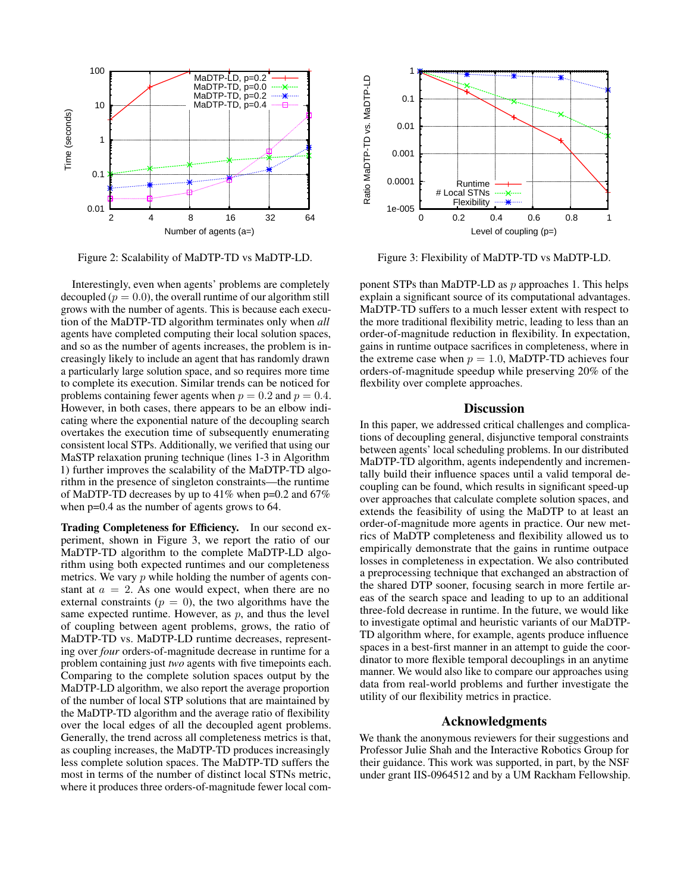

Figure 2: Scalability of MaDTP-TD vs MaDTP-LD.

Interestingly, even when agents' problems are completely decoupled ( $p = 0.0$ ), the overall runtime of our algorithm still grows with the number of agents. This is because each execution of the MaDTP-TD algorithm terminates only when *all* agents have completed computing their local solution spaces, and so as the number of agents increases, the problem is increasingly likely to include an agent that has randomly drawn a particularly large solution space, and so requires more time to complete its execution. Similar trends can be noticed for problems containing fewer agents when  $p = 0.2$  and  $p = 0.4$ . However, in both cases, there appears to be an elbow indicating where the exponential nature of the decoupling search overtakes the execution time of subsequently enumerating consistent local STPs. Additionally, we verified that using our MaSTP relaxation pruning technique (lines 1-3 in Algorithm 1) further improves the scalability of the MaDTP-TD algorithm in the presence of singleton constraints—the runtime of MaDTP-TD decreases by up to 41% when p=0.2 and 67% when  $p=0.4$  as the number of agents grows to 64.

Trading Completeness for Efficiency. In our second experiment, shown in Figure 3, we report the ratio of our MaDTP-TD algorithm to the complete MaDTP-LD algorithm using both expected runtimes and our completeness metrics. We vary  $p$  while holding the number of agents constant at  $a = 2$ . As one would expect, when there are no external constraints ( $p = 0$ ), the two algorithms have the same expected runtime. However, as  $p$ , and thus the level of coupling between agent problems, grows, the ratio of MaDTP-TD vs. MaDTP-LD runtime decreases, representing over *four* orders-of-magnitude decrease in runtime for a problem containing just *two* agents with five timepoints each. Comparing to the complete solution spaces output by the MaDTP-LD algorithm, we also report the average proportion of the number of local STP solutions that are maintained by the MaDTP-TD algorithm and the average ratio of flexibility over the local edges of all the decoupled agent problems. Generally, the trend across all completeness metrics is that, as coupling increases, the MaDTP-TD produces increasingly less complete solution spaces. The MaDTP-TD suffers the most in terms of the number of distinct local STNs metric, where it produces three orders-of-magnitude fewer local com-



Figure 3: Flexibility of MaDTP-TD vs MaDTP-LD.

ponent STPs than MaDTP-LD as  $p$  approaches 1. This helps explain a significant source of its computational advantages. MaDTP-TD suffers to a much lesser extent with respect to the more traditional flexibility metric, leading to less than an order-of-magnitude reduction in flexibility. In expectation, gains in runtime outpace sacrifices in completeness, where in the extreme case when  $p = 1.0$ , MaDTP-TD achieves four orders-of-magnitude speedup while preserving 20% of the flexbility over complete approaches.

### **Discussion**

In this paper, we addressed critical challenges and complications of decoupling general, disjunctive temporal constraints between agents' local scheduling problems. In our distributed MaDTP-TD algorithm, agents independently and incrementally build their influence spaces until a valid temporal decoupling can be found, which results in significant speed-up over approaches that calculate complete solution spaces, and extends the feasibility of using the MaDTP to at least an order-of-magnitude more agents in practice. Our new metrics of MaDTP completeness and flexibility allowed us to empirically demonstrate that the gains in runtime outpace losses in completeness in expectation. We also contributed a preprocessing technique that exchanged an abstraction of the shared DTP sooner, focusing search in more fertile areas of the search space and leading to up to an additional three-fold decrease in runtime. In the future, we would like to investigate optimal and heuristic variants of our MaDTP-TD algorithm where, for example, agents produce influence spaces in a best-first manner in an attempt to guide the coordinator to more flexible temporal decouplings in an anytime manner. We would also like to compare our approaches using data from real-world problems and further investigate the utility of our flexibility metrics in practice.

## Acknowledgments

We thank the anonymous reviewers for their suggestions and Professor Julie Shah and the Interactive Robotics Group for their guidance. This work was supported, in part, by the NSF under grant IIS-0964512 and by a UM Rackham Fellowship.